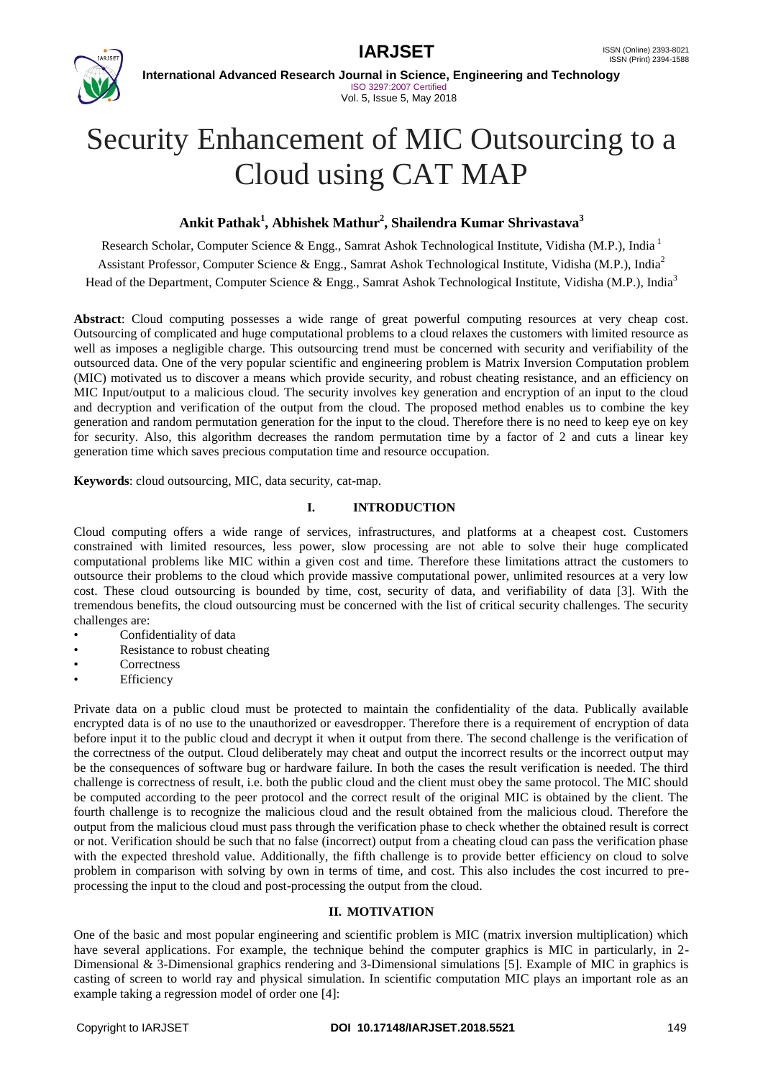



**International Advanced Research Journal in Science, Engineering and Technology** ISO 3297:2007 Certified Vol. 5, Issue 5, May 2018

# Security Enhancement of MIC Outsourcing to a Cloud using CAT MAP

# **Ankit Pathak<sup>1</sup> , Abhishek Mathur<sup>2</sup> , Shailendra Kumar Shrivastava<sup>3</sup>**

Research Scholar, Computer Science & Engg., Samrat Ashok Technological Institute, Vidisha (M.P.), India <sup>1</sup> Assistant Professor, Computer Science & Engg., Samrat Ashok Technological Institute, Vidisha (M.P.), India<sup>2</sup> Head of the Department, Computer Science & Engg., Samrat Ashok Technological Institute, Vidisha (M.P.), India<sup>3</sup>

**Abstract**: Cloud computing possesses a wide range of great powerful computing resources at very cheap cost. Outsourcing of complicated and huge computational problems to a cloud relaxes the customers with limited resource as well as imposes a negligible charge. This outsourcing trend must be concerned with security and verifiability of the outsourced data. One of the very popular scientific and engineering problem is Matrix Inversion Computation problem (MIC) motivated us to discover a means which provide security, and robust cheating resistance, and an efficiency on MIC Input/output to a malicious cloud. The security involves key generation and encryption of an input to the cloud and decryption and verification of the output from the cloud. The proposed method enables us to combine the key generation and random permutation generation for the input to the cloud. Therefore there is no need to keep eye on key for security. Also, this algorithm decreases the random permutation time by a factor of 2 and cuts a linear key generation time which saves precious computation time and resource occupation.

**Keywords**: cloud outsourcing, MIC, data security, cat-map.

### **I. INTRODUCTION**

Cloud computing offers a wide range of services, infrastructures, and platforms at a cheapest cost. Customers constrained with limited resources, less power, slow processing are not able to solve their huge complicated computational problems like MIC within a given cost and time. Therefore these limitations attract the customers to outsource their problems to the cloud which provide massive computational power, unlimited resources at a very low cost. These cloud outsourcing is bounded by time, cost, security of data, and verifiability of data [3]. With the tremendous benefits, the cloud outsourcing must be concerned with the list of critical security challenges. The security challenges are:

- Confidentiality of data
- Resistance to robust cheating
- **Correctness**
- **Efficiency**

Private data on a public cloud must be protected to maintain the confidentiality of the data. Publically available encrypted data is of no use to the unauthorized or eavesdropper. Therefore there is a requirement of encryption of data before input it to the public cloud and decrypt it when it output from there. The second challenge is the verification of the correctness of the output. Cloud deliberately may cheat and output the incorrect results or the incorrect output may be the consequences of software bug or hardware failure. In both the cases the result verification is needed. The third challenge is correctness of result, i.e. both the public cloud and the client must obey the same protocol. The MIC should be computed according to the peer protocol and the correct result of the original MIC is obtained by the client. The fourth challenge is to recognize the malicious cloud and the result obtained from the malicious cloud. Therefore the output from the malicious cloud must pass through the verification phase to check whether the obtained result is correct or not. Verification should be such that no false (incorrect) output from a cheating cloud can pass the verification phase with the expected threshold value. Additionally, the fifth challenge is to provide better efficiency on cloud to solve problem in comparison with solving by own in terms of time, and cost. This also includes the cost incurred to preprocessing the input to the cloud and post-processing the output from the cloud.

### **II. MOTIVATION**

One of the basic and most popular engineering and scientific problem is MIC (matrix inversion multiplication) which have several applications. For example, the technique behind the computer graphics is MIC in particularly, in 2-Dimensional & 3-Dimensional graphics rendering and 3-Dimensional simulations [5]. Example of MIC in graphics is casting of screen to world ray and physical simulation. In scientific computation MIC plays an important role as an example taking a regression model of order one [4]: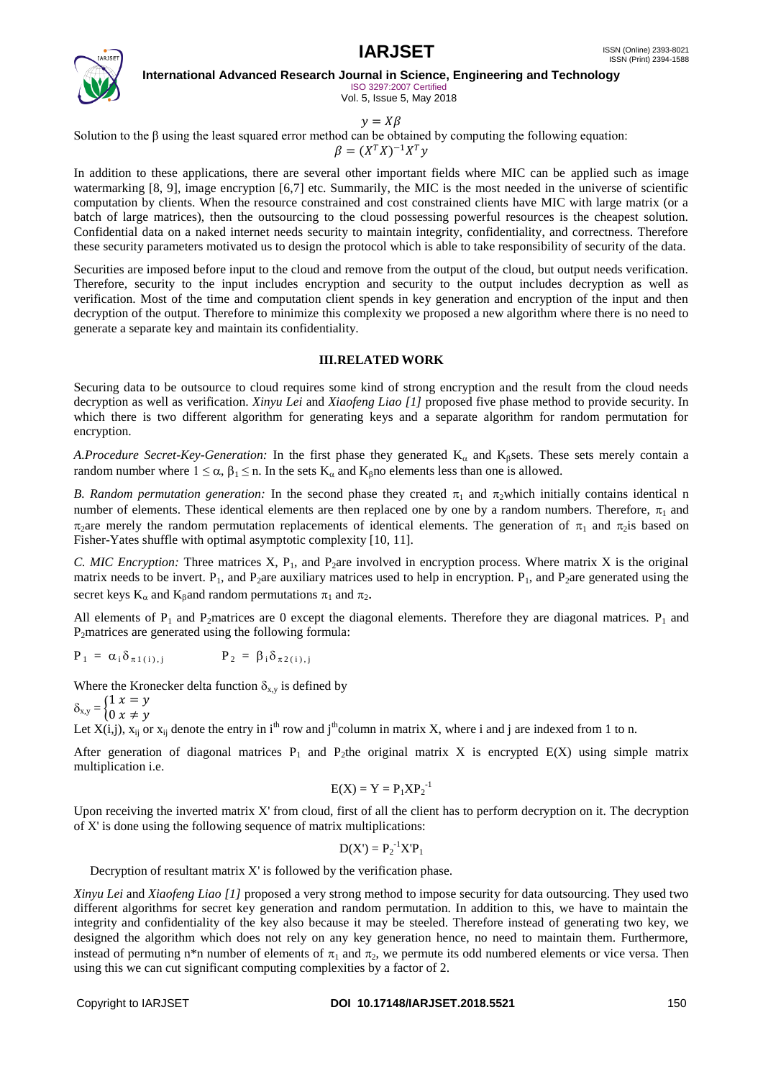

ISO 3297:2007 Certified Vol. 5, Issue 5, May 2018

 $v = X\beta$ 

Solution to the  $\beta$  using the least squared error method can be obtained by computing the following equation:

$$
\beta = (X^T X)^{-1} X^T y
$$

In addition to these applications, there are several other important fields where MIC can be applied such as image watermarking [8, 9], image encryption [6,7] etc. Summarily, the MIC is the most needed in the universe of scientific computation by clients. When the resource constrained and cost constrained clients have MIC with large matrix (or a batch of large matrices), then the outsourcing to the cloud possessing powerful resources is the cheapest solution. Confidential data on a naked internet needs security to maintain integrity, confidentiality, and correctness. Therefore these security parameters motivated us to design the protocol which is able to take responsibility of security of the data.

Securities are imposed before input to the cloud and remove from the output of the cloud, but output needs verification. Therefore, security to the input includes encryption and security to the output includes decryption as well as verification. Most of the time and computation client spends in key generation and encryption of the input and then decryption of the output. Therefore to minimize this complexity we proposed a new algorithm where there is no need to generate a separate key and maintain its confidentiality.

### **III.RELATED WORK**

Securing data to be outsource to cloud requires some kind of strong encryption and the result from the cloud needs decryption as well as verification. *Xinyu Lei* and *Xiaofeng Liao [1]* proposed five phase method to provide security. In which there is two different algorithm for generating keys and a separate algorithm for random permutation for encryption.

*A.Procedure Secret-Key-Generation:* In the first phase they generated  $K_{\alpha}$  and  $K_{\beta}$ sets. These sets merely contain a random number where  $1 \le \alpha$ ,  $\beta_1 \le n$ . In the sets K<sub>a</sub> and K<sub>n</sub>o elements less than one is allowed.

*B. Random permutation generation:* In the second phase they created  $\pi_1$  and  $\pi_2$ which initially contains identical n number of elements. These identical elements are then replaced one by one by a random numbers. Therefore,  $\pi_1$  and  $\pi_2$ are merely the random permutation replacements of identical elements. The generation of  $\pi_1$  and  $\pi_2$ is based on Fisher-Yates shuffle with optimal asymptotic complexity [10, 11].

*C. MIC Encryption:* Three matrices X,  $P_1$ , and  $P_2$ are involved in encryption process. Where matrix X is the original matrix needs to be invert.  $P_1$ , and P<sub>2</sub>are auxiliary matrices used to help in encryption.  $P_1$ , and P<sub>2</sub>are generated using the secret keys  $K_{\alpha}$  and  $K_{\beta}$  and random permutations  $\pi_1$  and  $\pi_2$ .

All elements of  $P_1$  and  $P_2$ matrices are 0 except the diagonal elements. Therefore they are diagonal matrices.  $P_1$  and  $P<sub>2</sub>$ matrices are generated using the following formula:

$$
P_1 = \alpha_i \delta_{\pi 1(i),j} \qquad \qquad P_2 = \beta_i \delta_{\pi 2(i),j}
$$

Where the Kronecker delta function  $\delta_{x,y}$  is defined by

$$
\delta_{x,y} = \begin{cases} 1 & x = y \\ 0 & x \neq y \end{cases}
$$

Let  $X(i,j)$ ,  $x_{ii}$  or  $x_{ii}$  denote the entry in i<sup>th</sup> row and j<sup>th</sup>column in matrix X, where i and j are indexed from 1 to n.

After generation of diagonal matrices  $P_1$  and P<sub>2</sub>the original matrix X is encrypted E(X) using simple matrix multiplication i.e.

$$
E(X) = Y = P1XP2-1
$$

Upon receiving the inverted matrix X' from cloud, first of all the client has to perform decryption on it. The decryption of X' is done using the following sequence of matrix multiplications:

$$
D(X') = P_2^{-1} X' P_1
$$

Decryption of resultant matrix X' is followed by the verification phase.

*Xinyu Lei* and *Xiaofeng Liao [1]* proposed a very strong method to impose security for data outsourcing. They used two different algorithms for secret key generation and random permutation. In addition to this, we have to maintain the integrity and confidentiality of the key also because it may be steeled. Therefore instead of generating two key, we designed the algorithm which does not rely on any key generation hence, no need to maintain them. Furthermore, instead of permuting n<sup>\*</sup>n number of elements of  $\pi_1$  and  $\pi_2$ , we permute its odd numbered elements or vice versa. Then using this we can cut significant computing complexities by a factor of 2.

#### Copyright to IARJSET **DOI 10.17148/IARJSET.2018.5521** 150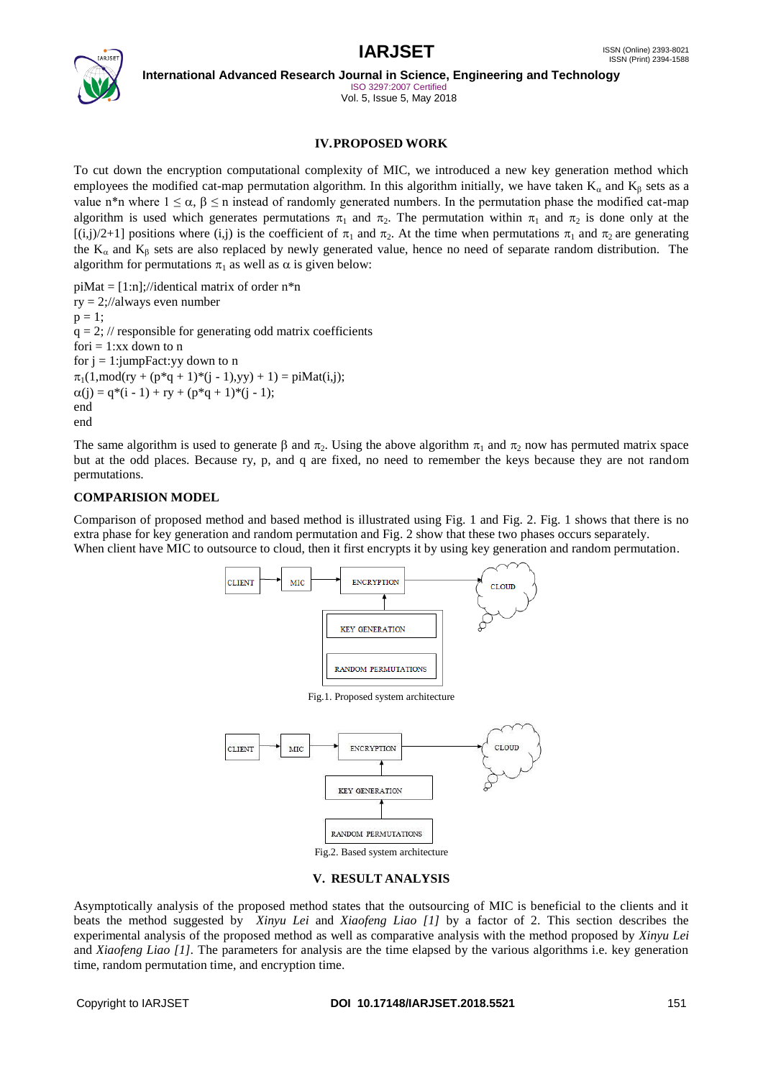

ISO 3297:2007 Certified Vol. 5, Issue 5, May 2018

# **IV.PROPOSED WORK**

To cut down the encryption computational complexity of MIC, we introduced a new key generation method which employees the modified cat-map permutation algorithm. In this algorithm initially, we have taken  $K_{\alpha}$  and  $K_{\beta}$  sets as a value n\*n where  $1 \le \alpha$ ,  $\beta \le n$  instead of randomly generated numbers. In the permutation phase the modified cat-map algorithm is used which generates permutations  $\pi_1$  and  $\pi_2$ . The permutation within  $\pi_1$  and  $\pi_2$  is done only at the  $[(i,j)/2+1]$  positions where  $(i,j)$  is the coefficient of  $\pi_1$  and  $\pi_2$ . At the time when permutations  $\pi_1$  and  $\pi_2$  are generating the  $K_{\alpha}$  and  $K_{\beta}$  sets are also replaced by newly generated value, hence no need of separate random distribution. The algorithm for permutations  $\pi_1$  as well as  $\alpha$  is given below:

 $piMat = [1:n]$ ;//identical matrix of order n\*n  $ry = 2$ ;//always even number  $p = 1$ ;  $q = 2$ ; // responsible for generating odd matrix coefficients fori  $= 1:xx$  down to n for  $j = 1$ : jumpFact: y down to n  $\pi_1(1,\text{mod}(ry + (p^*q + 1)^*(i - 1), vy) + 1) = \text{piMat}(i,j);$  $\alpha(j) = q*(i - 1) + ry + (p*q + 1)*(j - 1);$ end end

The same algorithm is used to generate  $\beta$  and  $\pi_0$ . Using the above algorithm  $\pi_1$  and  $\pi_2$  now has permuted matrix space but at the odd places. Because ry, p, and q are fixed, no need to remember the keys because they are not random permutations.

# **COMPARISION MODEL**

Comparison of proposed method and based method is illustrated using Fig. 1 and Fig. 2. Fig. 1 shows that there is no extra phase for key generation and random permutation and Fig. 2 show that these two phases occurs separately. When client have MIC to outsource to cloud, then it first encrypts it by using key generation and random permutation.



# **V. RESULT ANALYSIS**

Asymptotically analysis of the proposed method states that the outsourcing of MIC is beneficial to the clients and it beats the method suggested by *Xinyu Lei* and *Xiaofeng Liao [1]* by a factor of 2. This section describes the experimental analysis of the proposed method as well as comparative analysis with the method proposed by *Xinyu Lei* and *Xiaofeng Liao [1]*. The parameters for analysis are the time elapsed by the various algorithms i.e. key generation time, random permutation time, and encryption time.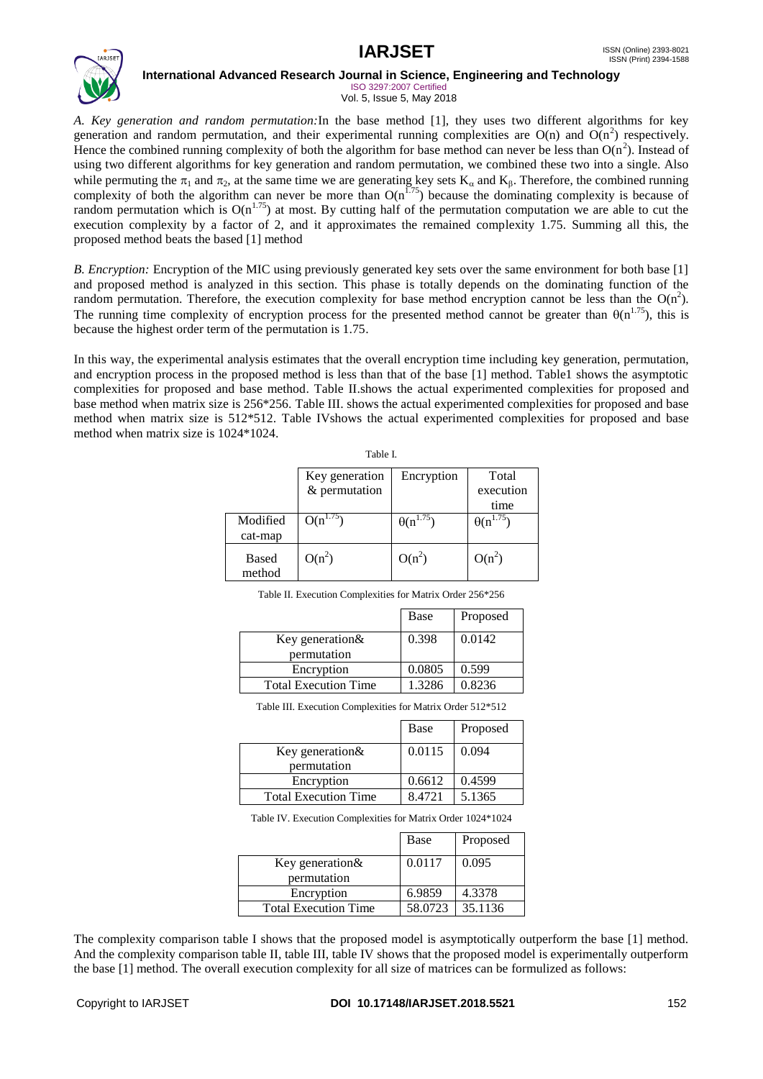

ISO 3297:2007 Certified Vol. 5, Issue 5, May 2018

*A. Key generation and random permutation:*In the base method [1], they uses two different algorithms for key generation and random permutation, and their experimental running complexities are  $O(n)$  and  $O(n^2)$  respectively. Hence the combined running complexity of both the algorithm for base method can never be less than  $O(n^2)$ . Instead of using two different algorithms for key generation and random permutation, we combined these two into a single. Also while permuting the  $\pi_1$  and  $\pi_2$ , at the same time we are generating key sets  $K_\alpha$  and  $K_\beta$ . Therefore, the combined running complexity of both the algorithm can never be more than  $O(n^{1.75})$  because the dominating complexity is because of random permutation which is  $O(n^{1.75})$  at most. By cutting half of the permutation computation we are able to cut the execution complexity by a factor of 2, and it approximates the remained complexity 1.75. Summing all this, the proposed method beats the based [1] method

*B. Encryption:* Encryption of the MIC using previously generated key sets over the same environment for both base [1] and proposed method is analyzed in this section. This phase is totally depends on the dominating function of the random permutation. Therefore, the execution complexity for base method encryption cannot be less than the  $O(n^2)$ . The running time complexity of encryption process for the presented method cannot be greater than  $\theta(n^{1.75})$ , this is because the highest order term of the permutation is 1.75.

In this way, the experimental analysis estimates that the overall encryption time including key generation, permutation, and encryption process in the proposed method is less than that of the base [1] method. Table1 shows the asymptotic complexities for proposed and base method. Table II.shows the actual experimented complexities for proposed and base method when matrix size is 256\*256. Table III. shows the actual experimented complexities for proposed and base method when matrix size is 512\*512. Table IVshows the actual experimented complexities for proposed and base method when matrix size is 1024\*1024.

|                        | Key generation<br>$&$ permutation | Encryption         | Total<br>execution |
|------------------------|-----------------------------------|--------------------|--------------------|
|                        |                                   |                    | time               |
| Modified<br>cat-map    | $O(n^{1.75})$                     | $\theta(n^{1.75})$ | $\theta(n^{1.75})$ |
| <b>Based</b><br>method | $O(n^2)$                          | $O(n^2)$           | $O(n^2)$           |

Table I.

|                             | Base   | Proposed |
|-----------------------------|--------|----------|
| Key generation&             | 0.398  | 0.0142   |
| permutation                 |        |          |
| Encryption                  | 0.0805 | 0.599    |
| <b>Total Execution Time</b> | 1.3286 | 0.8236   |
|                             |        |          |

Table III. Execution Complexities for Matrix Order 512\*512

|                                | Base   | Proposed |
|--------------------------------|--------|----------|
| Key generation&<br>permutation | 0.0115 | 0.094    |
| Encryption                     | 0.6612 | 0.4599   |
| <b>Total Execution Time</b>    | 8.4721 | 5.1365   |

Table IV. Execution Complexities for Matrix Order 1024\*1024

|                                 | Base    | Proposed |
|---------------------------------|---------|----------|
| Key generation &<br>permutation | 0.0117  | 0.095    |
| Encryption                      | 6.9859  | 4.3378   |
| <b>Total Execution Time</b>     | 58.0723 | 35.1136  |

The complexity comparison table I shows that the proposed model is asymptotically outperform the base [1] method. And the complexity comparison table II, table III, table IV shows that the proposed model is experimentally outperform the base [1] method. The overall execution complexity for all size of matrices can be formulized as follows: